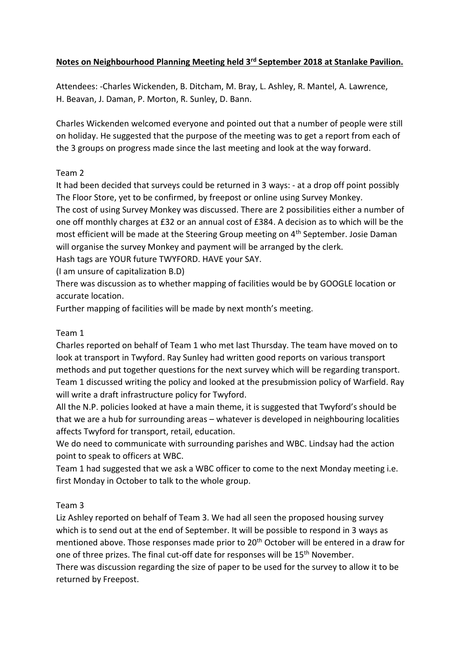## **Notes on Neighbourhood Planning Meeting held 3rd September 2018 at Stanlake Pavilion.**

Attendees: -Charles Wickenden, B. Ditcham, M. Bray, L. Ashley, R. Mantel, A. Lawrence, H. Beavan, J. Daman, P. Morton, R. Sunley, D. Bann.

Charles Wickenden welcomed everyone and pointed out that a number of people were still on holiday. He suggested that the purpose of the meeting was to get a report from each of the 3 groups on progress made since the last meeting and look at the way forward.

## Team 2

It had been decided that surveys could be returned in 3 ways: - at a drop off point possibly The Floor Store, yet to be confirmed, by freepost or online using Survey Monkey. The cost of using Survey Monkey was discussed. There are 2 possibilities either a number of one off monthly charges at £32 or an annual cost of £384. A decision as to which will be the most efficient will be made at the Steering Group meeting on 4<sup>th</sup> September. Josie Daman will organise the survey Monkey and payment will be arranged by the clerk.

Hash tags are YOUR future TWYFORD. HAVE your SAY.

(I am unsure of capitalization B.D)

There was discussion as to whether mapping of facilities would be by GOOGLE location or accurate location.

Further mapping of facilities will be made by next month's meeting.

## Team 1

Charles reported on behalf of Team 1 who met last Thursday. The team have moved on to look at transport in Twyford. Ray Sunley had written good reports on various transport methods and put together questions for the next survey which will be regarding transport. Team 1 discussed writing the policy and looked at the presubmission policy of Warfield. Ray will write a draft infrastructure policy for Twyford.

All the N.P. policies looked at have a main theme, it is suggested that Twyford's should be that we are a hub for surrounding areas – whatever is developed in neighbouring localities affects Twyford for transport, retail, education.

We do need to communicate with surrounding parishes and WBC. Lindsay had the action point to speak to officers at WBC.

Team 1 had suggested that we ask a WBC officer to come to the next Monday meeting i.e. first Monday in October to talk to the whole group.

## Team 3

Liz Ashley reported on behalf of Team 3. We had all seen the proposed housing survey which is to send out at the end of September. It will be possible to respond in 3 ways as mentioned above. Those responses made prior to 20<sup>th</sup> October will be entered in a draw for one of three prizes. The final cut-off date for responses will be 15<sup>th</sup> November.

There was discussion regarding the size of paper to be used for the survey to allow it to be returned by Freepost.